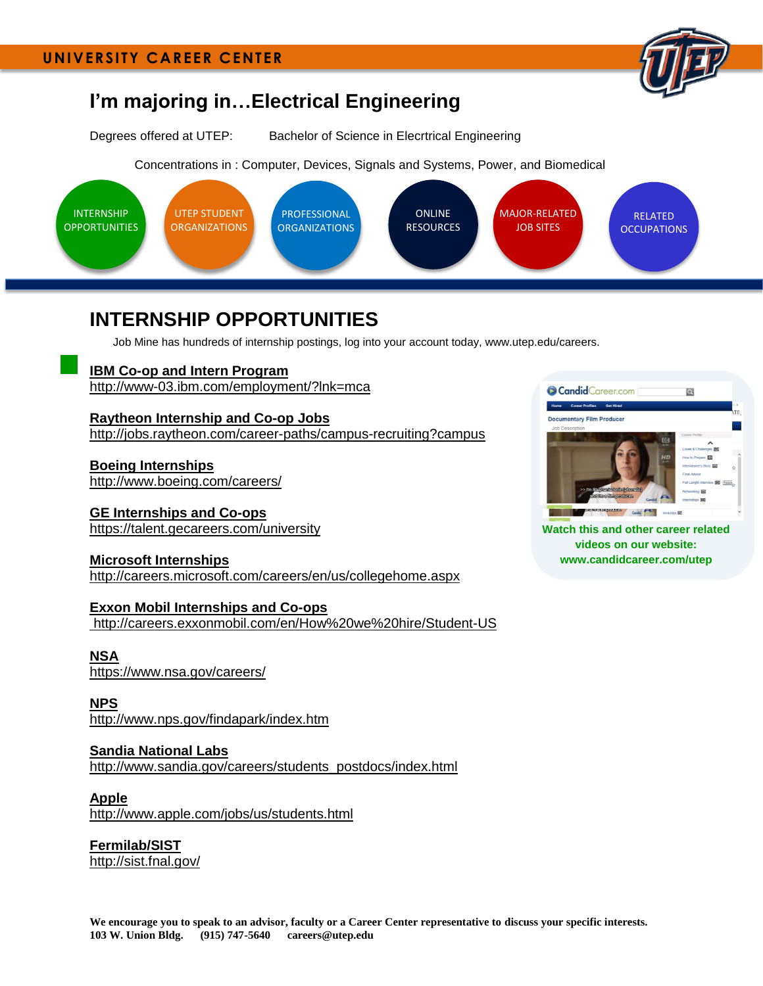

# **I'm majoring in…Electrical Engineering**

Degrees offered at UTEP: Bachelor of Science in Elecrtrical Engineering

Concentrations in : Computer, Devices, Signals and Systems, Power, and Biomedical



# <span id="page-0-0"></span>**INTERNSHIP OPPORTUNITIES**

Job Mine has hundreds of internship postings, log into your account today, www.utep.edu/careers.

**[IBM Co-op and Intern Program](http://www-03.ibm.com/employment/us/un_interns_coops.shtml)** <http://www-03.ibm.com/employment/?lnk=mca>

**[Raytheon Internship and Co-op Jobs](http://jobs.raytheon.com/career-paths/campus-recruiting?campus)** <http://jobs.raytheon.com/career-paths/campus-recruiting?campus>

**[Boeing Internships](http://www.boeing.com/careers/)** <http://www.boeing.com/careers/>

**[GE Internships and Co-ops](http://www.ge.com/careers/students/internships.html)** <https://talent.gecareers.com/university>

**[Microsoft Internships](http://www.microsoft.com/college/ip_overview.mspx)** <http://careers.microsoft.com/careers/en/us/collegehome.aspx>

**[Exxon Mobil Internships and Co-ops](http://www.exxonmobil.com/USA-English/HR/careers_us.aspx)** <http://careers.exxonmobil.com/en/How%20we%20hire/Student-US>

**[NSA](https://www.nsa.gov/careers/)** <https://www.nsa.gov/careers/>

**[NPS](http://www.nps.gov/findapark/index.htm)** <http://www.nps.gov/findapark/index.htm>

**[Sandia National Labs](http://www.sandia.gov/careers/students_postdocs/index.html)** [http://www.sandia.gov/careers/students\\_postdocs/index.html](http://www.sandia.gov/careers/students_postdocs/index.html)

**[Apple](http://www.apple.com/jobs/us/students.html)** <http://www.apple.com/jobs/us/students.html>

**[Fermilab/SIST](http://sist.fnal.gov/)** <http://sist.fnal.gov/>



**Watch this and other career related videos on our website: www.candidcareer.com/utep**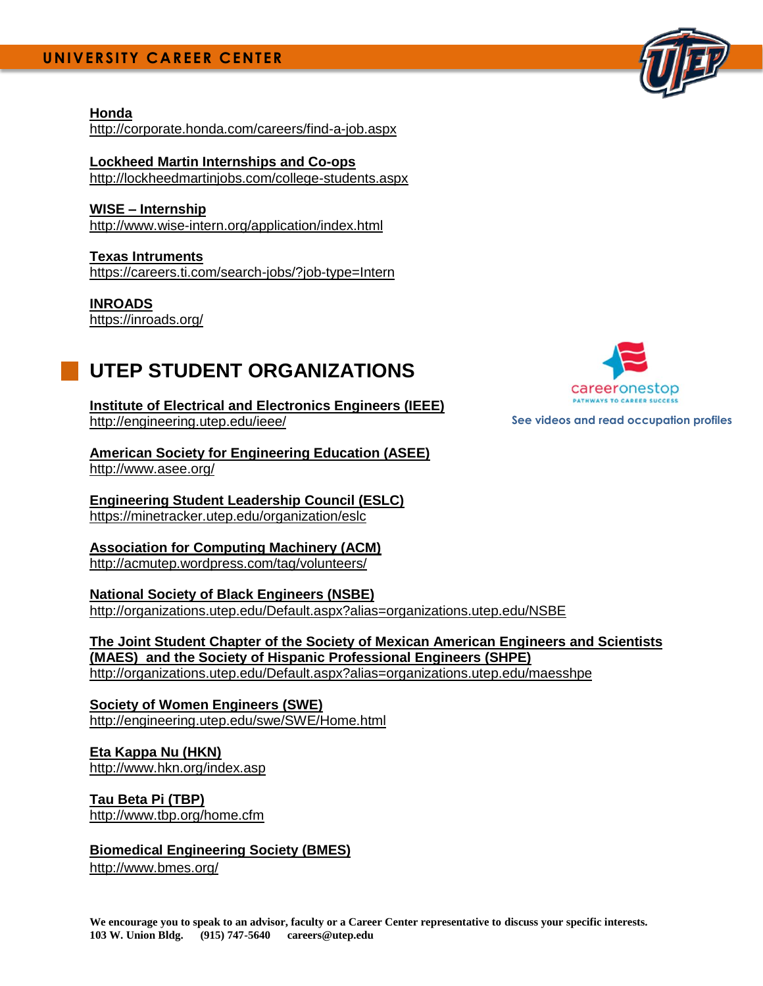## **UNIVERSITY CAREER CENTER**

#### **[Honda](http://corporate.honda.com/careers/find-a-job.aspx)** <http://corporate.honda.com/careers/find-a-job.aspx>

#### **[Lockheed Martin Internships and Co-ops](http://www.lockheedmartinjobs.com/internships-coops.asp)**

<http://lockheedmartinjobs.com/college-students.aspx>

**WISE – [Internship](http://www.wise-intern.org/application/index.html)** <http://www.wise-intern.org/application/index.html>

**Texas Intruments** <https://careers.ti.com/search-jobs/?job-type=Intern>

**INROADS** <https://inroads.org/>

# <span id="page-1-0"></span>**UTEP STUDENT ORGANIZATIONS**

**[Institute of Electrical and Electronics Engineers \(IEEE\)](http://engineering.utep.edu/ieee/)** <http://engineering.utep.edu/ieee/>

**[American Society for Engineering Education \(ASEE\)](http://www.asee.org/)** <http://www.asee.org/>

**[Engineering Student Leadership Council \(ESLC\)](http://engineering.utep.edu/eslc/)** <https://minetracker.utep.edu/organization/eslc>

**[Association for Computing Machinery \(ACM\)](https://acmutep.wordpress.com/)** <http://acmutep.wordpress.com/tag/volunteers/>

**[National Society of Black Engineers \(NSBE\)](http://organizations.utep.edu/Default.aspx?alias=organizations.utep.edu/NSBE)** <http://organizations.utep.edu/Default.aspx?alias=organizations.utep.edu/NSBE>

**[The Joint Student Chapter of the Society of Mexican American Engineers and Scientists](http://organizations.utep.edu/Default.aspx?alias=organizations.utep.edu/maesshpe)  [\(MAES\) and the Society of Hispanic Professional Engineers \(SHPE\)](http://organizations.utep.edu/Default.aspx?alias=organizations.utep.edu/maesshpe)** <http://organizations.utep.edu/Default.aspx?alias=organizations.utep.edu/maesshpe>

**[Society of Women Engineers \(SWE\)](http://engineering.utep.edu/swe/SWE/Home.html)** <http://engineering.utep.edu/swe/SWE/Home.html>

**[Eta Kappa Nu \(HKN\)](http://www.hkn.org/index.asp)** <http://www.hkn.org/index.asp>

**[Tau Beta Pi \(TBP\)](http://www.tbp.org/home.cfm)** <http://www.tbp.org/home.cfm>

#### **Biomedical Engineering Society (BMES)**

<http://www.bmes.org/>



**See videos and read occupation profiles**

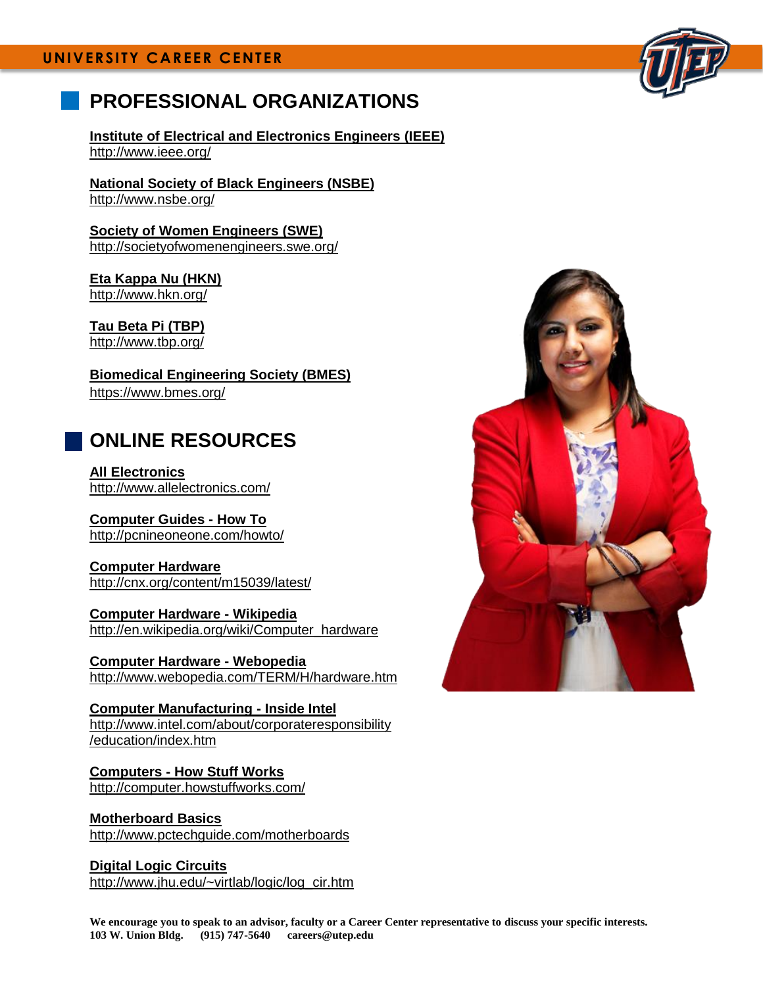## **UNIVERSITY CAREER CENTER**

# <span id="page-2-0"></span>**PROFESSIONAL ORGANIZATIONS**

**[Institute of Electrical and Electronics Engineers \(IEEE\)](http://www.ieee.org/)** <http://www.ieee.org/>

**[National Society of Black Engineers \(NSBE\)](http://www.nsbe.org/)** <http://www.nsbe.org/>

**[Society of Women Engineers \(SWE\)](http://societyofwomenengineers.swe.org/)** <http://societyofwomenengineers.swe.org/>

**[Eta Kappa Nu \(HKN\)](http://www.hkn.org/)** <http://www.hkn.org/>

**[Tau Beta Pi \(TBP\)](http://www.tbp.org/)** <http://www.tbp.org/>

**Biomedical Engineering Society (BMES)** <https://www.bmes.org/>

# <span id="page-2-1"></span>**ONLINE RESOURCES**

**[All Electronics](http://www.allelectronics.com/)** <http://www.allelectronics.com/>

**[Computer Guides](http://pcnineoneone.com/howto/) - How To** <http://pcnineoneone.com/howto/>

**[Computer Hardware](http://cnx.org/content/m15039/latest/)** <http://cnx.org/content/m15039/latest/>

**[Computer Hardware -](http://en.wikipedia.org/wiki/Computer_hardware) Wikipedia** [http://en.wikipedia.org/wiki/Computer\\_hardware](http://en.wikipedia.org/wiki/Computer_hardware)

**[Computer Hardware -](http://www.webopedia.com/TERM/H/hardware.html) Webopedia** [http://www.webopedia.com/TERM/H/hardware.htm](http://www.webopedia.com/TERM/H/hardware.html)

**[Computer Manufacturing -](http://www.intel.com/education/manufacturing/index.htm) Inside Intel** [http://www.intel.com/about/corporateresponsibility](http://www.intel.com/about/corporateresponsibility/education/index.htm) [/education/index.htm](http://www.intel.com/about/corporateresponsibility/education/index.htm)

**Computers - [How Stuff Works](http://computer.howstuffworks.com/)** <http://computer.howstuffworks.com/>

**[Motherboard Basics](http://www.pctechguide.com/11Motherboards.htm)** <http://www.pctechguide.com/motherboards>

**[Digital Logic Circuits](http://www.jhu.edu/~virtlab/logic/log_cir.htm)** [http://www.jhu.edu/~virtlab/logic/log\\_cir.htm](http://www.jhu.edu/~virtlab/logic/log_cir.htm)



**We encourage you to speak to an advisor, faculty or a Career Center representative to discuss your specific interests. 103 W. Union Bldg. (915) 747-5640 careers@utep.edu**

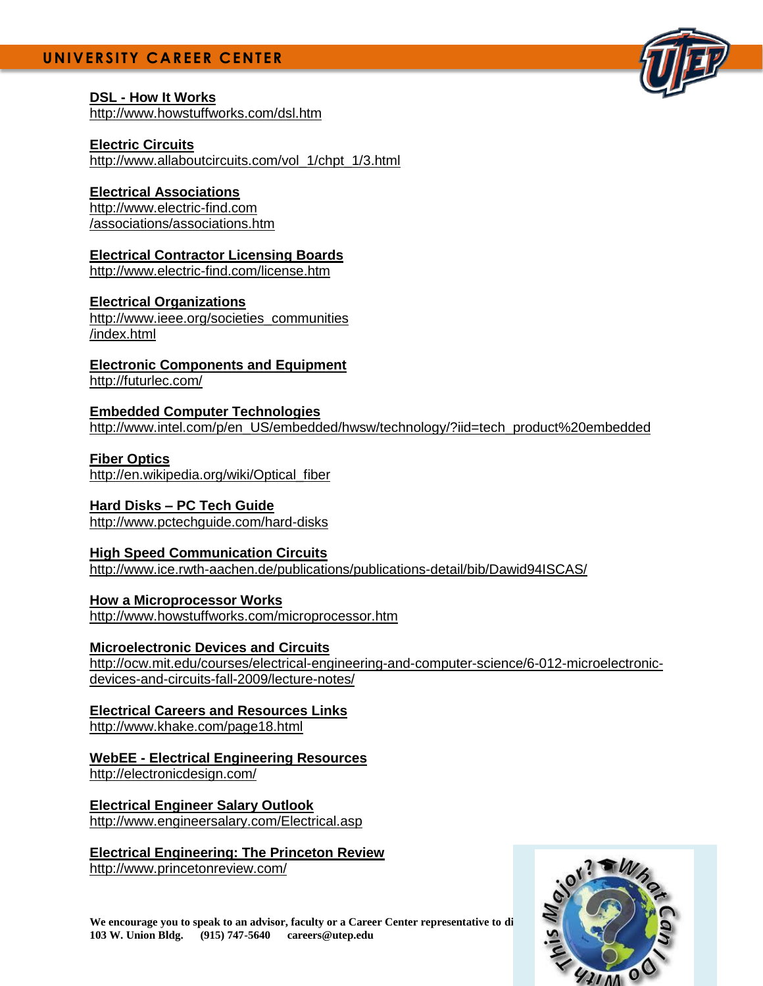## **UNIVERSITY CAREER CENTER**

### **DSL - [How It Works](http://www.howstuffworks.com/dsl.htm)**

<http://www.howstuffworks.com/dsl.htm>

#### **[Electric Circuits](http://www.allaboutcircuits.com/vol_1/chpt_1/3.html)**

[http://www.allaboutcircuits.com/vol\\_1/chpt\\_1/3.html](http://www.allaboutcircuits.com/vol_1/chpt_1/3.html)

#### **[Electrical Associations](http://www.electric-find.com/associations/associations.htm)**

[http://www.electric-find.com](http://www.electric-find.com/associations/associations.htm) [/associations/associations.htm](http://www.electric-find.com/associations/associations.htm)

### **[Electrical Contractor Licensing Boards](http://www.electric-find.com/license.htm)**

<http://www.electric-find.com/license.htm>

### **[Electrical Organizations](http://www.ieee.org/web/societies/home/index.html)**

[http://www.ieee.org/societies\\_communities](http://www.ieee.org/societies_communities/index.html) [/index.html](http://www.ieee.org/societies_communities/index.html)

**[Electronic Components and Equipment](http://futurlec.com/)** <http://futurlec.com/>

**[Embedded Computer Technologies](http://www.intel.com/p/en_US/embedded/hwsw/technology/?iid=tech_product%20embedded)** [http://www.intel.com/p/en\\_US/embedded/hwsw/technology/?iid=tech\\_product%20embedded](http://www.intel.com/p/en_US/embedded/hwsw/technology/?iid=tech_product%20embedded)

### **[Fiber Optics](http://en.wikipedia.org/wiki/Optical_fiber)**

[http://en.wikipedia.org/wiki/Optical\\_fiber](http://en.wikipedia.org/wiki/Optical_fiber)

### **Hard Disks – [PC Tech Guide](http://www.pctechguide.com/31HardDisk.htm)**

<http://www.pctechguide.com/hard-disks>

#### **[High Speed Communication Circuits](http://www.ice.rwth-aachen.de/publications/publications-detail/bib/Dawid94ISCAS/)**

<http://www.ice.rwth-aachen.de/publications/publications-detail/bib/Dawid94ISCAS/>

**[How a Microprocessor Works](http://www.howstuffworks.com/microprocessor.htm)** <http://www.howstuffworks.com/microprocessor.htm>

#### **[Microelectronic Devices and Circuits](http://ocw.mit.edu/courses/electrical-engineering-and-computer-science/6-012-microelectronic-devices-and-circuits-fall-2009/lecture-notes/)**

[http://ocw.mit.edu/courses/electrical-engineering-and-computer-science/6-012-microelectronic](http://ocw.mit.edu/courses/electrical-engineering-and-computer-science/6-012-microelectronic-devices-and-circuits-fall-2009/lecture-notes/)[devices-and-circuits-fall-2009/lecture-notes/](http://ocw.mit.edu/courses/electrical-engineering-and-computer-science/6-012-microelectronic-devices-and-circuits-fall-2009/lecture-notes/)

#### **[Electrical Careers and Resources Links](http://www.khake.com/page18.html)** <http://www.khake.com/page18.html>

## **WebEE - [Electrical Engineering Resources](http://www.web-ee.com/)**

<http://electronicdesign.com/>

**[Electrical Engineer Salary Outlook](http://www.engineersalary.com/Electrical.asp)** <http://www.engineersalary.com/Electrical.asp>

## **[Electrical Engineering: The Princeton Review](http://www.princetonreview.com/)**

<http://www.princetonreview.com/>



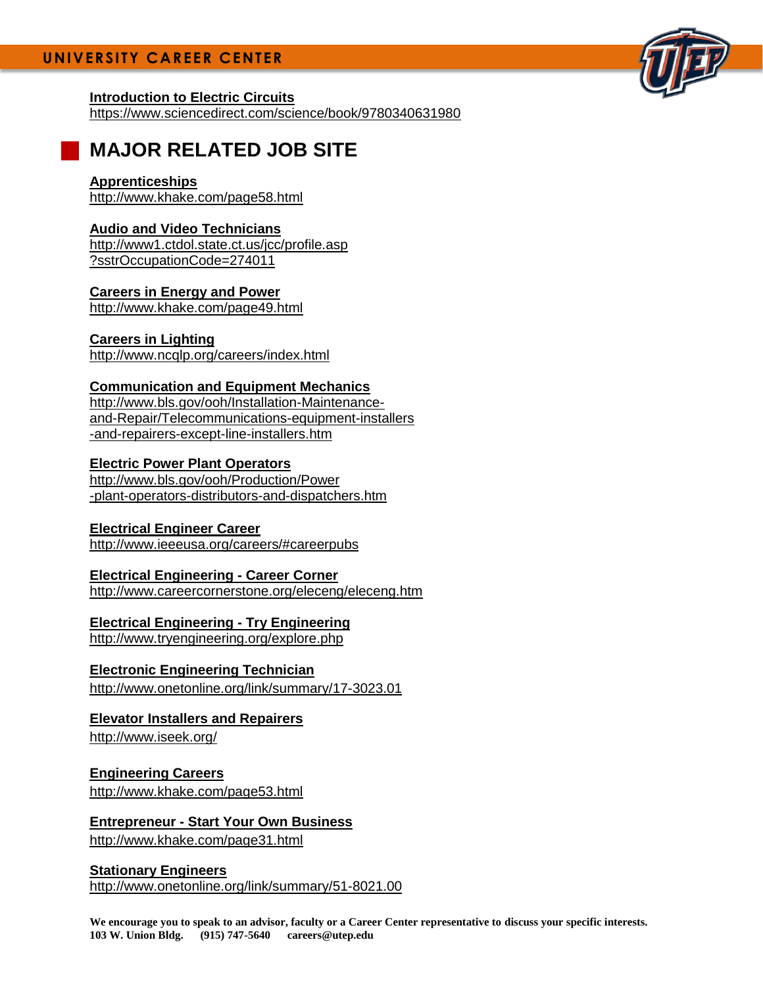### **[Introduction to Electric Circuits](https://www.sciencedirect.com/science/book/9780340631980)**

<https://www.sciencedirect.com/science/book/9780340631980>

# **MAJOR RELATED JOB SITE**

### **[Apprenticeships](http://www.khake.com/page58.html)**

<http://www.khake.com/page58.html>

## **[Audio and Video Technicians](http://www1.ctdol.state.ct.us/jcc/profile.asp?sstrOccupationCode=274011)**

[http://www1.ctdol.state.ct.us/jcc/profile.asp](http://www1.ctdol.state.ct.us/jcc/profile.asp?sstrOccupationCode=274011) [?sstrOccupationCode=274011](http://www1.ctdol.state.ct.us/jcc/profile.asp?sstrOccupationCode=274011)

## **[Careers in Energy and Power](http://www.khake.com/page49.html)**

<http://www.khake.com/page49.html>

### **[Careers in Lighting](http://www.ncqlp.org/careers/index.html)**

<http://www.ncqlp.org/careers/index.html>

## **[Communication and Equipment Mechanics](http://www.bls.gov/ooh/Installation-Maintenance-and-Repair/Telecommunications-equipment-installers-and-repairers-except-line-installers.htm)**

[http://www.bls.gov/ooh/Installation-Maintenance](http://www.bls.gov/ooh/Installation-Maintenance-and-Repair/Telecommunications-equipment-installers-and-repairers-except-line-installers.htm)[and-Repair/Telecommunications-equipment-installers](http://www.bls.gov/ooh/Installation-Maintenance-and-Repair/Telecommunications-equipment-installers-and-repairers-except-line-installers.htm) [-and-repairers-except-line-installers.htm](http://www.bls.gov/ooh/Installation-Maintenance-and-Repair/Telecommunications-equipment-installers-and-repairers-except-line-installers.htm)

### **[Electric Power Plant Operators](http://www.bls.gov/ooh/Production/Power-plant-operators-distributors-and-dispatchers.htm)**

[http://www.bls.gov/ooh/Production/Power](http://www.bls.gov/ooh/Production/Power-plant-operators-distributors-and-dispatchers.htm) [-plant-operators-distributors-and-dispatchers.htm](http://www.bls.gov/ooh/Production/Power-plant-operators-distributors-and-dispatchers.htm)

### **[Electrical Engineer Career](http://www.ieeeusa.org/careers/#careerpubs)**

<http://www.ieeeusa.org/careers/#careerpubs>

### **[Electrical Engineering -](http://www.careercornerstone.org/eleceng/eleceng.htm) Career Corner**

<http://www.careercornerstone.org/eleceng/eleceng.htm>

### **[Electrical Engineering -](http://www.tryengineering.org/explore.php) Try Engineering**

<http://www.tryengineering.org/explore.php>

### **[Electronic Engineering Technician](http://www.onetonline.org/link/summary/17-3023.01)**

<http://www.onetonline.org/link/summary/17-3023.01>

### **[Elevator Installers and Repairers](http://www.iseek.org/sv/Careers?id=13000:100068)**

<http://www.iseek.org/>

### **[Engineering Careers](http://www.khake.com/page53.html)**

<http://www.khake.com/page53.html>

## **Entrepreneur - [Start Your Own Business](http://www.khake.com/page31.html)**

<http://www.khake.com/page31.html>

### **[Stationary Engineers](http://online.onetcenter.org/link/summary/51-8021.00)** <http://www.onetonline.org/link/summary/51-8021.00>